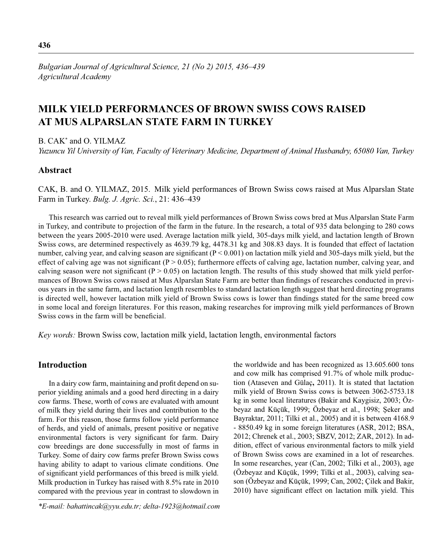*Bulgarian Journal of Agricultural Science, 21 (No 2) 2015, 436–439 Agricultural Academy*

# **MILK YIELD PERFORMANCES OF BROWN SWISS COWS RAISED AT MUS ALPARSLAN STATE FARM IN TURKEY**

B. CAK\* and O. YILMAZ

*Yuzuncu Yil University of Van, Faculty of Veterinary Medicine, Department of Animal Husbandry, 65080 Van, Turkey*

# **Abstract**

CAK, B. and O. YILMAZ, 2015. Milk yield performances of Brown Swiss cows raised at Mus Alparslan State Farm in Turkey. *Bulg. J. Agric. Sci.*, 21: 436–439

This research was carried out to reveal milk yield performances of Brown Swiss cows bred at Mus Alparslan State Farm in Turkey, and contribute to projection of the farm in the future. In the research, a total of 935 data belonging to 280 cows between the years 2005-2010 were used. Average lactation milk yield, 305-days milk yield, and lactation length of Brown Swiss cows, are determined respectively as 4639.79 kg, 4478.31 kg and 308.83 days. It is founded that effect of lactation number, calving year, and calving season are significant  $(P < 0.001)$  on lactation milk yield and 305-days milk yield, but the effect of calving age was not significant ( $P > 0.05$ ); furthermore effects of calving age, lactation number, calving year, and calving season were not significant ( $P > 0.05$ ) on lactation length. The results of this study showed that milk yield performances of Brown Swiss cows raised at Mus Alparslan State Farm are better than findings of researches conducted in previous years in the same farm, and lactation length resembles to standard lactation length suggest that herd directing programs is directed well, however lactation milk yield of Brown Swiss cows is lower than findings stated for the same breed cow in some local and foreign literatures. For this reason, making researches for improving milk yield performances of Brown Swiss cows in the farm will be beneficial.

*Key words:* Brown Swiss cow, lactation milk yield, lactation length, environmental factors

# **Introduction**

In a dairy cow farm, maintaining and profit depend on superior yielding animals and a good herd directing in a dairy cow farms. These, worth of cows are evaluated with amount of milk they yield during their lives and contribution to the farm. For this reason, those farms follow yield performance of herds, and yield of animals, present positive or negative environmental factors is very significant for farm. Dairy cow breedings are done successfully in most of farms in Turkey. Some of dairy cow farms prefer Brown Swiss cows having ability to adapt to various climate conditions. One of significant yield performances of this breed is milk yield. Milk production in Turkey has raised with 8.5% rate in 2010 compared with the previous year in contrast to slowdown in the worldwide and has been recognized as 13.605.600 tons and cow milk has comprised 91.7% of whole milk production (Ataseven and Gülaç**,** 2011). It is stated that lactation milk yield of Brown Swiss cows is between 3062-5753.18 kg in some local literatures (Bakir and Kaygisiz, 2003; Özbeyaz and Küçük, 1999; Özbeyaz et al., 1998; Şeker and Bayraktar, 2011; Tilki et al., 2005) and it is between 4168.9 - 8850.49 kg in some foreign literatures (ASR, 2012; BSA, 2012; Chrenek et al., 2003; SBZV, 2012; ZAR, 2012). In addition, effect of various environmental factors to milk yield of Brown Swiss cows are examined in a lot of researches. In some researches, year (Can, 2002; Tilki et al., 2003), age (Özbeyaz and Küçük, 1999; Tilki et al., 2003), calving season (Özbeyaz and Küçük, 1999; Can, 2002; Çilek and Bakir, 2010) have significant effect on lactation milk yield. This

*<sup>\*</sup>E-mail: bahattincak@yyu.edu.tr; delta-1923@hotmail.com*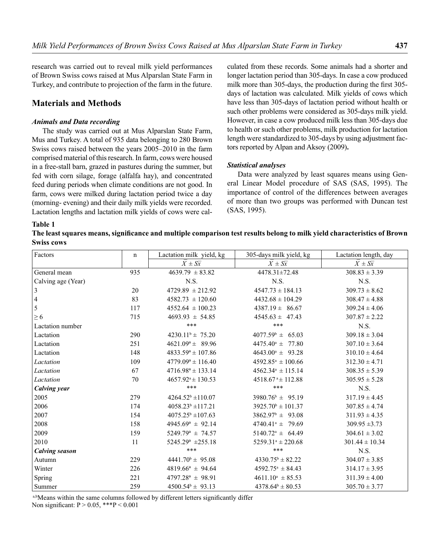research was carried out to reveal milk yield performances of Brown Swiss cows raised at Mus Alparslan State Farm in Turkey, and contribute to projection of the farm in the future.

# **Materials and Methods**

#### *Animals and Data recording*

The study was carried out at Mus Alparslan State Farm, Mus and Turkey. A total of 935 data belonging to 280 Brown Swiss cows raised between the years 2005–2010 in the farm comprised material of this research. In farm, cows were housed in a free-stall barn, grazed in pastures during the summer, but fed with corn silage, forage (alfalfa hay), and concentrated feed during periods when climate conditions are not good. In farm, cows were milked during lactation period twice a day (morning- evening) and their daily milk yields were recorded. Lactation lengths and lactation milk yields of cows were cal-

culated from these records. Some animals had a shorter and longer lactation period than 305-days. In case a cow produced milk more than 305-days, the production during the first 305days of lactation was calculated. Milk yields of cows which have less than 305-days of lactation period without health or such other problems were considered as 305-days milk yield. However, in case a cow produced milk less than 305-days due to health or such other problems, milk production for lactation length were standardized to 305-days by using adjustment factors reported by Alpan and Aksoy (2009)**.**

#### *Statistical analyses*

Data were analyzed by least squares means using General Linear Model procedure of SAS (SAS, 1995). The importance of control of the differences between averages of more than two groups was performed with Duncan test (SAS, 1995).

#### **Table 1**

The least squares means, significance and multiple comparison test results belong to milk yield characteristics of Brown **Swiss cows**

| Factors               | $\mathbf n$ | Lactation milk yield, kg     | 305-days milk yield, kg           | Lactation length, day |
|-----------------------|-------------|------------------------------|-----------------------------------|-----------------------|
|                       |             | $X \pm S\overline{x}$        | $X \pm S\overline{x}$             | $X \pm S\overline{x}$ |
| General mean          | 935         | $4639.79 \pm 83.82$          | 4478.31±72.48                     | $308.83 \pm 3.39$     |
| Calving age (Year)    |             | N.S.                         | N.S.                              | N.S.                  |
| 3                     | 20          | $4729.89 \pm 212.92$         | $4547.73 \pm 184.13$              | $309.73 \pm 8.62$     |
| 4                     | 83          | $4582.73 \pm 120.60$         | $4432.68 \pm 104.29$              | $308.47 \pm 4.88$     |
| 5                     | 117         | $4552.64 \pm 100.23$         | $4387.19 \pm 86.67$               | $309.24 \pm 4.06$     |
| $\geq 6$              | 715         | $4693.93 \pm 54.85$          | $4545.63 \pm 47.43$               | $307.87 \pm 2.22$     |
| Lactation number      |             | ***                          | ***                               | N.S.                  |
| Lactation             | 290         | $4230.11^{\circ} \pm 75.20$  | $4077.59^{\circ} \pm 65.03$       | $309.18 \pm 3.04$     |
| Lactation             | 251         | $4621.09^a \pm 89.96$        | $4475.40^{\circ} \pm 77.80$       | $307.10 \pm 3.64$     |
| Lactation             | 148         | $4833.59^{\circ} \pm 107.86$ | $4643.00^a \pm 93.28$             | $310.10 \pm 4.64$     |
| Lactation             | 109         | $4779.09^{\circ} \pm 116.40$ | $4592.85^{\mathrm{a}} \pm 100.66$ | $312.30 \pm 4.71$     |
| Lactation             | 67          | $4716.98^a \pm 133.14$       | $4562.34^{\circ} \pm 115.14$      | $308.35 \pm 5.39$     |
| Lactation             | 70          | $4657.92^{\circ} \pm 130.53$ | $4518.67$ <sup>a</sup> ± 112.88   | $305.95 \pm 5.28$     |
| <b>Calving year</b>   |             | ***                          | ***                               | N.S.                  |
| 2005                  | 279         | $4264.52^b \pm 110.07$       | $3980.76^{\circ} \pm 95.19$       | $317.19 \pm 4.45$     |
| 2006                  | 174         | $4058.23^b \pm 117.21$       | $3925.70^{\circ} \pm 101.37$      | $307.85 \pm 4.74$     |
| 2007                  | 154         | $4075.25^b \pm 107.63$       | $3862.97^b \pm 93.08$             | $311.93 \pm 4.35$     |
| 2008                  | 158         | $4945.69^a \pm 92.14$        | $4740.41^{\circ} \pm 79.69$       | $309.95 \pm 3.73$     |
| 2009                  | 159         | $5249.79^a \pm 74.57$        | $5140.72^a \pm 64.49$             | $304.61 \pm 3.02$     |
| 2010                  | 11          | $5245.29^a \pm 255.18$       | $5259.31^{\circ} \pm 220.68$      | $301.44 \pm 10.34$    |
| <b>Calving season</b> |             | ***                          | ***                               | N.S.                  |
| Autumn                | 229         | $4441.70^b \pm 95.08$        | $4330.75^b \pm 82.22$             | $304.07 \pm 3.85$     |
| Winter                | 226         | $4819.66^a \pm 94.64$        | $4592.75^{\circ} \pm 84.43$       | $314.17 \pm 3.95$     |
| Spring                | 221         | $4797.28^a \pm 98.91$        | $4611.10^a \pm 85.53$             | $311.39 \pm 4.00$     |
| Summer                | 259         | $4500.54^{\circ} \pm 93.13$  | $4378.64^b \pm 80.53$             | $305.70 \pm 3.77$     |

a,bMeans within the same columns followed by different letters significantly differ

Non significant:  $P > 0.05$ , \*\*\* $P < 0.001$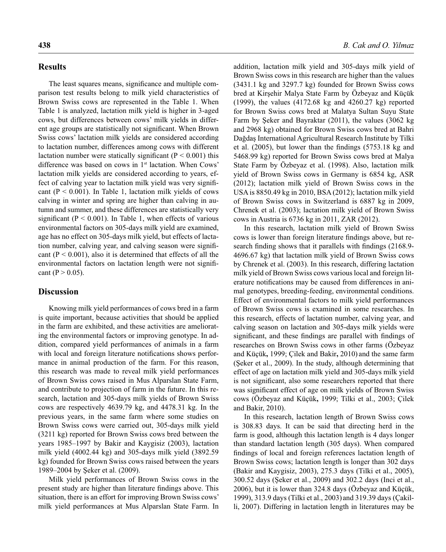### **Results**

The least squares means, significance and multiple comparison test results belong to milk yield characteristics of Brown Swiss cows are represented in the Table 1. When Table 1 is analyzed, lactation milk yield is higher in 3-aged cows, but differences between cows' milk yields in different age groups are statistically not significant. When Brown Swiss cows' lactation milk yields are considered according to lactation number, differences among cows with different lactation number were statically significant ( $P < 0.001$ ) this difference was based on cows in 1<sup>st</sup> lactation. When Cows' lactation milk yields are considered according to years, effect of calving year to lactation milk yield was very significant ( $P < 0.001$ ). In Table 1, lactation milk yields of cows calving in winter and spring are higher than calving in autumn and summer, and these differences are statistically very significant ( $P < 0.001$ ). In Table 1, when effects of various environmental factors on 305-days milk yield are examined, age has no effect on 305-days milk yield, but effects of lactation number, calving year, and calving season were significant ( $P < 0.001$ ), also it is determined that effects of all the environmental factors on lactation length were not significant (P  $> 0.05$ ).

## **Discussion**

Knowing milk yield performances of cows bred in a farm is quite important, because activities that should be applied in the farm are exhibited, and these activities are ameliorating the environmental factors or improving genotype. In addition, compared yield performances of animals in a farm with local and foreign literature notifications shows performance in animal production of the farm. For this reason, this research was made to reveal milk yield performances of Brown Swiss cows raised in Mus Alparslan State Farm, and contribute to projection of farm in the future. In this research, lactation and 305-days milk yields of Brown Swiss cows are respectively 4639.79 kg, and 4478.31 kg. In the previous years, in the same farm where some studies on Brown Swiss cows were carried out, 305-days milk yield (3211 kg) reported for Brown Swiss cows bred between the years 1985–1997 by Bakir and Kaygisiz (2003), lactation milk yield (4002.44 kg) and 305-days milk yield (3892.59 kg) founded for Brown Swiss cows raised between the years 1989–2004 by Şeker et al. (2009).

Milk yield performances of Brown Swiss cows in the present study are higher than literature findings above. This situation, there is an effort for improving Brown Swiss cows' milk yield performances at Mus Alparslan State Farm. In addition, lactation milk yield and 305-days milk yield of Brown Swiss cows in this research are higher than the values (3431.1 kg and 3297.7 kg) founded for Brown Swiss cows bred at Kirşehir Malya State Farm by Özbeyaz and Küçük (1999), the values (4172.68 kg and 4260.27 kg) reported for Brown Swiss cows bred at Malatya Sultan Suyu State Farm by Şeker and Bayraktar (2011), the values (3062 kg and 2968 kg) obtained for Brown Swiss cows bred at Bahri Dağdaş International Agricultural Research Institute by Tilki et al.  $(2005)$ , but lower than the findings  $(5753.18 \text{ kg and}$ 5468.99 kg) reported for Brown Swiss cows bred at Malya State Farm by Özbeyaz et al. (1998). Also, lactation milk yield of Brown Swiss cows in Germany is 6854 kg, ASR (2012); lactation milk yield of Brown Swiss cows in the USA is 8850.49 kg in 2010, BSA (2012); lactation milk yield of Brown Swiss cows in Switzerland is 6887 kg in 2009, Chrenek et al. (2003); lactation milk yield of Brown Swiss cows in Austria is 6736 kg in 2011, ZAR (2012).

In this research, lactation milk yield of Brown Swiss cows is lower than foreign literature findings above, but research finding shows that it parallels with findings (2168.9-4696.67 kg) that lactation milk yield of Brown Swiss cows by Chrenek et al. (2003). In this research, differing lactation milk yield of Brown Swiss cows various local and foreign literature notifications may be caused from differences in animal genotypes, breeding-feeding, environmental conditions. Effect of environmental factors to milk yield performances of Brown Swiss cows is examined in some researches. In this research, effects of lactation number, calving year, and calving season on lactation and 305-days milk yields were significant, and these findings are parallel with findings of researches on Brown Swiss cows in other farms (Özbeyaz and Küçük**,** 1999; Çilek and Bakir**,** 2010) and the same farm (Şeker et al., 2009). In the study, although determining that effect of age on lactation milk yield and 305-days milk yield is not significant, also some researchers reported that there was significant effect of age on milk yields of Brown Swiss cows (Özbeyaz and Küçük**,** 1999; Tilki et al., 2003; Çilek and Bakir, 2010).

In this research, lactation length of Brown Swiss cows is 308.83 days. It can be said that directing herd in the farm is good, although this lactation length is 4 days longer than standard lactation length (305 days). When compared findings of local and foreign references lactation length of Brown Swiss cows; lactation length is longer than 302 days (Bakir and Kaygisiz, 2003), 275.3 days (Tilki et al., 2005), 300.52 days (Şeker et al., 2009) and 302.2 days (Inci et al., 2006), but it is lower than 324.8 days (Özbeyaz and Küçük, 1999), 313.9 days (Tilki et al., 2003) and 319.39 days (Çakilli, 2007). Differing in lactation length in literatures may be